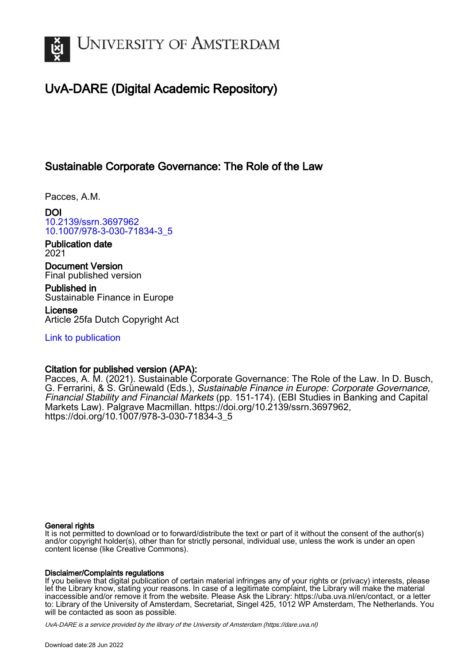

# UvA-DARE (Digital Academic Repository)

## Sustainable Corporate Governance: The Role of the Law

Pacces, A.M.

DOI [10.2139/ssrn.3697962](https://doi.org/10.2139/ssrn.3697962) [10.1007/978-3-030-71834-3\\_5](https://doi.org/10.1007/978-3-030-71834-3_5)

Publication date 2021

Document Version Final published version

Published in Sustainable Finance in Europe

License Article 25fa Dutch Copyright Act

[Link to publication](https://dare.uva.nl/personal/pure/en/publications/sustainable-corporate-governance-the-role-of-the-law(2fc4273c-f6de-48fc-bbae-c0aa9910974e).html)

## Citation for published version (APA):

Pacces, A. M. (2021). Sustainable Corporate Governance: The Role of the Law. In D. Busch, G. Ferrarini, & S. Grünewald (Eds.), Sustainable Finance in Europe: Corporate Governance, Financial Stability and Financial Markets (pp. 151-174). (EBI Studies in Banking and Capital Markets Law). Palgrave Macmillan. <https://doi.org/10.2139/ssrn.3697962>, [https://doi.org/10.1007/978-3-030-71834-3\\_5](https://doi.org/10.1007/978-3-030-71834-3_5)

## General rights

It is not permitted to download or to forward/distribute the text or part of it without the consent of the author(s) and/or copyright holder(s), other than for strictly personal, individual use, unless the work is under an open content license (like Creative Commons).

## Disclaimer/Complaints regulations

If you believe that digital publication of certain material infringes any of your rights or (privacy) interests, please let the Library know, stating your reasons. In case of a legitimate complaint, the Library will make the material inaccessible and/or remove it from the website. Please Ask the Library: https://uba.uva.nl/en/contact, or a letter to: Library of the University of Amsterdam, Secretariat, Singel 425, 1012 WP Amsterdam, The Netherlands. You will be contacted as soon as possible.

UvA-DARE is a service provided by the library of the University of Amsterdam (http*s*://dare.uva.nl)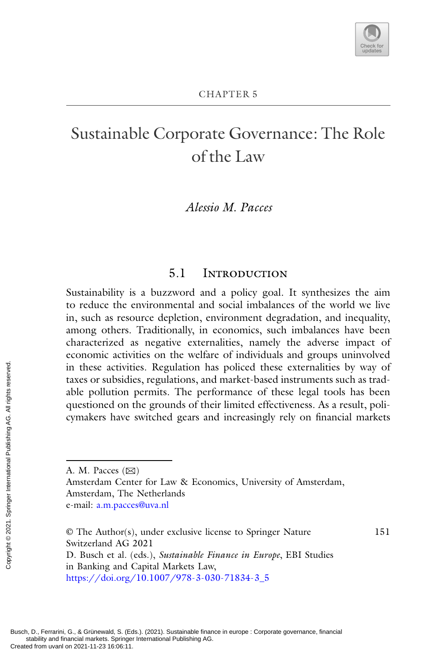151

# Sustainable Corporate Governance: The Role of the Law

## *Alessio M. Pacces*

## 5.1 Introduction

Sustainability is a buzzword and a policy goal. It synthesizes the aim to reduce the environmental and social imbalances of the world we live in, such as resource depletion, environment degradation, and inequality, among others. Traditionally, in economics, such imbalances have been characterized as negative externalities, namely the adverse impact of economic activities on the welfare of individuals and groups uninvolved in these activities. Regulation has policed these externalities by way of taxes or subsidies, regulations, and market-based instruments such as tradable pollution permits. The performance of these legal tools has been questioned on the grounds of their limited effectiveness. As a result, policymakers have switched gears and increasingly rely on financial markets From these activit<br>
taxes or subsidial<br>
taxes or subsidial<br>
able pollution<br>
questioned on 1<br>
cymakers have<br>
cymakers have<br>  $\overline{z}$ <br>  $\overline{z}$ <br>  $\overline{z}$ <br>  $\overline{z}$ <br>  $\overline{z}$ <br>  $\overline{z}$ <br>  $\overline{z}$ <br>  $\overline{z}$ <br>  $\overline{z}$ <br>  $\overline{z}$ 

A. M. Pacces  $(\boxtimes)$ Amsterdam Center for Law & Economics, University of Amsterdam, Amsterdam, The Netherlands e-mail: [a.m.pacces@uva.nl](mailto:a.m.pacces@uva.nl)

<sup>©</sup> The Author(s), under exclusive license to Springer Nature Switzerland AG 2021 D. Busch et al. (eds.), *Sustainable Finance in Europe*, EBI Studies in Banking and Capital Markets Law,

[https://doi.org/10.1007/978-3-030-71834-3\\_5](https://doi.org/10.1007/978-3-030-71834-3_5)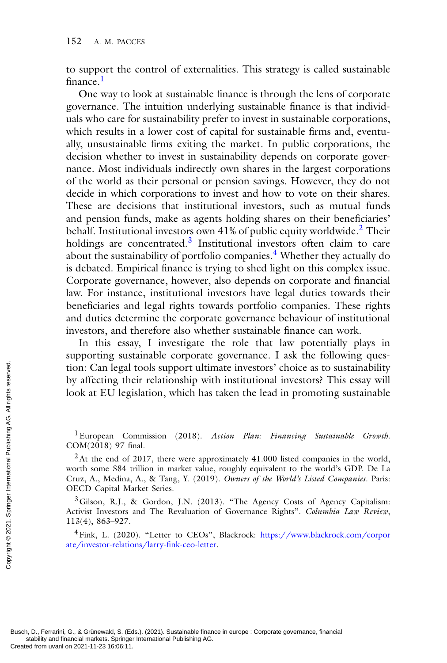to support the control of externalities. This strategy is called sustainable finance.<sup>1</sup>

One way to look at sustainable finance is through the lens of corporate governance. The intuition underlying sustainable finance is that individuals who care for sustainability prefer to invest in sustainable corporations, which results in a lower cost of capital for sustainable firms and, eventually, unsustainable firms exiting the market. In public corporations, the decision whether to invest in sustainability depends on corporate governance. Most individuals indirectly own shares in the largest corporations of the world as their personal or pension savings. However, they do not decide in which corporations to invest and how to vote on their shares. These are decisions that institutional investors, such as mutual funds and pension funds, make as agents holding shares on their beneficiaries' behalf. Institutional investors own  $41\%$  of public equity worldwide.<sup>2</sup> Their holdings are concentrated. $3$  Institutional investors often claim to care about the sustainability of portfolio companies.<sup>4</sup> Whether they actually do is debated. Empirical finance is trying to shed light on this complex issue. Corporate governance, however, also depends on corporate and financial law. For instance, institutional investors have legal duties towards their beneficiaries and legal rights towards portfolio companies. These rights and duties determine the corporate governance behaviour of institutional investors, and therefore also whether sustainable finance can work.

In this essay, I investigate the role that law potentially plays in supporting sustainable corporate governance. I ask the following question: Can legal tools support ultimate investors' choice as to sustainability by affecting their relationship with institutional investors? This essay will look at EU legislation, which has taken the lead in promoting sustainable

1European Commission (2018). *Action Plan: Financing Sustainable Growth*. COM(2018) 97 final.

 $3$  Gilson, R.J., & Gordon, J.N. (2013). "The Agency Costs of Agency Capitalism: Activist Investors and The Revaluation of Governance Rights". *Columbia Law Review*, 113(4), 863–927.

[4Fink, L. \(2020\). "Letter to CEOs", Blackrock:](https://www.blackrock.com/corporate/investor-relations/larry-fink-ceo-letter) https://www.blackrock.com/corpor ate/investor-relations/larry-fink-ceo-letter.

 $2$ At the end of 2017, there were approximately 41.000 listed companies in the world, worth some \$84 trillion in market value, roughly equivalent to the world's GDP. De La Cruz, A., Medina, A., & Tang, Y. (2019). *Owners of the World's Listed Companies*. Paris: OECD Capital Market Series. From UVA affecting the look at EU legi<br>
Look at EU legi<br>
look at EU legi<br>  $\frac{2}{\sqrt{3}}$ <br>  $\frac{1}{\sqrt{2}}$  Luropean Co<br>
COM(2018) 97 fii<br>  $\frac{2}{\sqrt{1}}$  At the end of<br>  $\frac{1}{\sqrt{10}}$ <br>  $\frac{2}{\sqrt{10}}$ <br>  $\frac{1}{\sqrt{10}}$ <br>  $\frac{1}{\sqrt{10}}$ <br>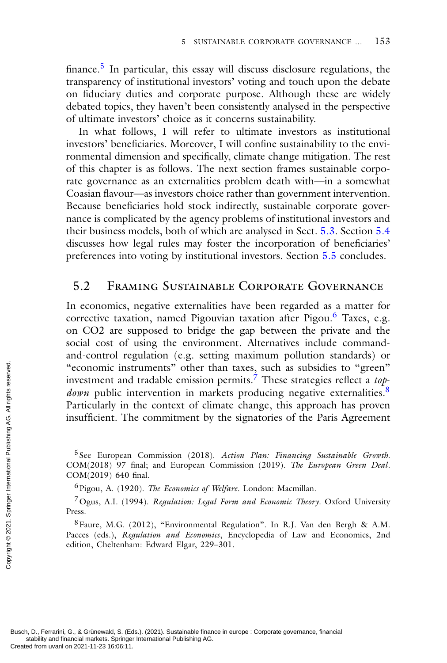finance.<sup>5</sup> In particular, this essay will discuss disclosure regulations, the transparency of institutional investors' voting and touch upon the debate on fiduciary duties and corporate purpose. Although these are widely debated topics, they haven't been consistently analysed in the perspective of ultimate investors' choice as it concerns sustainability.

In what follows, I will refer to ultimate investors as institutional investors' beneficiaries. Moreover, I will confine sustainability to the environmental dimension and specifically, climate change mitigation. The rest of this chapter is as follows. The next section frames sustainable corporate governance as an externalities problem death with—in a somewhat Coasian flavour—as investors choice rather than government intervention. Because beneficiaries hold stock indirectly, sustainable corporate governance is complicated by the agency problems of institutional investors and their business models, both of which are analysed in Sect. 5.3. Section 5.4 discusses how legal rules may foster the incorporation of beneficiaries' preferences into voting by institutional investors. Section 5.5 concludes.

#### 5.2 Framing Sustainable Corporate Governance

In economics, negative externalities have been regarded as a matter for corrective taxation, named Pigouvian taxation after Pigou.<sup>6</sup> Taxes, e.g. on CO2 are supposed to bridge the gap between the private and the social cost of using the environment. Alternatives include commandand-control regulation (e.g. setting maximum pollution standards) or "economic instruments" other than taxes, such as subsidies to "green" investment and tradable emission permits.7 These strategies reflect a *topdown* public intervention in markets producing negative externalities.<sup>8</sup> Particularly in the context of climate change, this approach has proven insufficient. The commitment by the signatories of the Paris Agreement Exercise the international on 2021-11-23 16:06:11.<br>
Busch, D., Ferrarini, G., & Grünewald, S. (Exercised from uvanl on 2021-11-23 16:06:11.<br>
Created from uvanl on 2021-11-23 16:06:11.<br>
Created from uvanl on 2021-11-23 16:

<sup>5</sup> See European Commission (2018). *Action Plan: Financing Sustainable Growth*. COM(2018) 97 final; and European Commission (2019). *The European Green Deal*. COM(2019) 640 final.

6Pigou, A. (1920). *The Economics of Welfare*. London: Macmillan.

7Ogus, A.I. (1994). *Regulation: Legal Form and Economic Theory*. Oxford University Press.

8Faure, M.G. (2012), "Environmental Regulation". In R.J. Van den Bergh & A.M. Pacces (eds.), *Regulation and Economics*, Encyclopedia of Law and Economics, 2nd edition, Cheltenham: Edward Elgar, 229–301.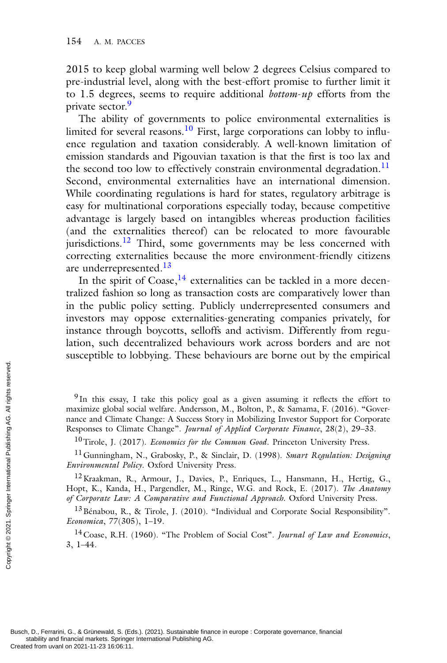2015 to keep global warming well below 2 degrees Celsius compared to pre-industrial level, along with the best-effort promise to further limit it to 1.5 degrees, seems to require additional *bottom*-*up* efforts from the private sector.<sup>9</sup>

The ability of governments to police environmental externalities is limited for several reasons.<sup>10</sup> First, large corporations can lobby to influence regulation and taxation considerably. A well-known limitation of emission standards and Pigouvian taxation is that the first is too lax and the second too low to effectively constrain environmental degradation.<sup>11</sup> Second, environmental externalities have an international dimension. While coordinating regulations is hard for states, regulatory arbitrage is easy for multinational corporations especially today, because competitive advantage is largely based on intangibles whereas production facilities (and the externalities thereof) can be relocated to more favourable jurisdictions.<sup>12</sup> Third, some governments may be less concerned with correcting externalities because the more environment-friendly citizens are underrepresented.<sup>13</sup>

In the spirit of Coase, $^{14}$  externalities can be tackled in a more decentralized fashion so long as transaction costs are comparatively lower than in the public policy setting. Publicly underrepresented consumers and investors may oppose externalities-generating companies privately, for instance through boycotts, selloffs and activism. Differently from regulation, such decentralized behaviours work across borders and are not susceptible to lobbying. These behaviours are borne out by the empirical

<sup>9</sup> In this essay, I take this policy goal as a given assuming it reflects the effort to maximize global social welfare. Andersson, M., Bolton, P., & Samama, F. (2016). "Governance and Climate Change: A Success Story in Mobilizing Investor Support for Corporate Responses to Climate Change". *Journal of Applied Corporate Finance*, 28(2), 29–33. Exerces on 2021-11-23 16:06:11.<br>
Separate and Climate<br>
Responses to Clim<br>  $10$  Tirole, J. (20)<br>  $11$  Gunningham,<br> *Environmental Pol*<br>  $12$  Kraakman, R.<br>  $H_{\text{opt}}$  K., Kanda, R.<br> *of Corporate Law:*<br>  $13$  Bénabou, R.,<br> *E* 

10Tirole, J. (2017). *Economics for the Common Good*. Princeton University Press.

11Gunningham, N., Grabosky, P., & Sinclair, D. (1998). *Smart Regulation: Designing Environmental Policy*. Oxford University Press.

<sup>12</sup> Kraakman, R., Armour, J., Davies, P., Enriques, L., Hansmann, H., Hertig, G., Hopt, K., Kanda, H., Pargendler, M., Ringe, W.G. and Rock, E. (2017). *The Anatomy of Corporate Law: A Comparative and Functional Approach*. Oxford University Press.

<sup>13</sup> Bénabou, R., & Tirole, J. (2010). "Individual and Corporate Social Responsibility". *Economica*, 77(305), 1–19.

14Coase, R.H. (1960). "The Problem of Social Cost". *Journal of Law and Economics*, 3, 1–44.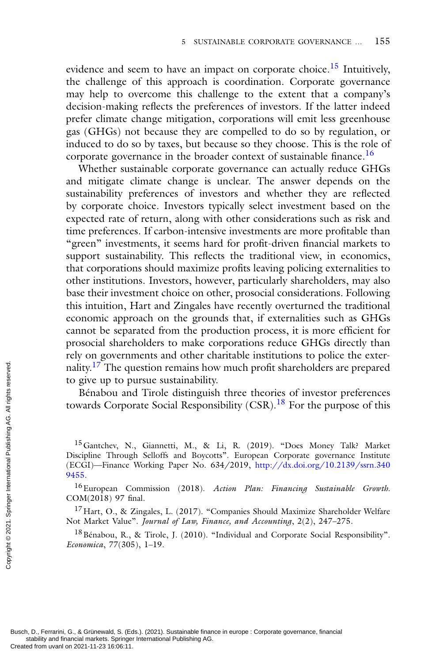evidence and seem to have an impact on corporate choice.<sup>15</sup> Intuitively, the challenge of this approach is coordination. Corporate governance may help to overcome this challenge to the extent that a company's decision-making reflects the preferences of investors. If the latter indeed prefer climate change mitigation, corporations will emit less greenhouse gas (GHGs) not because they are compelled to do so by regulation, or induced to do so by taxes, but because so they choose. This is the role of corporate governance in the broader context of sustainable finance.<sup>16</sup>

Whether sustainable corporate governance can actually reduce GHGs and mitigate climate change is unclear. The answer depends on the sustainability preferences of investors and whether they are reflected by corporate choice. Investors typically select investment based on the expected rate of return, along with other considerations such as risk and time preferences. If carbon-intensive investments are more profitable than "green" investments, it seems hard for profit-driven financial markets to support sustainability. This reflects the traditional view, in economics, that corporations should maximize profits leaving policing externalities to other institutions. Investors, however, particularly shareholders, may also base their investment choice on other, prosocial considerations. Following this intuition, Hart and Zingales have recently overturned the traditional economic approach on the grounds that, if externalities such as GHGs cannot be separated from the production process, it is more efficient for prosocial shareholders to make corporations reduce GHGs directly than rely on governments and other charitable institutions to police the externality.<sup>17</sup> The question remains how much profit shareholders are prepared to give up to pursue sustainability.

Bénabou and Tirole distinguish three theories of investor preferences towards Corporate Social Responsibility (CSR).<sup>18</sup> For the purpose of this

16European Commission (2018). *Action Plan: Financing Sustainable Growth*. COM(2018) 97 final.

 $^{17}$ Hart, O., & Zingales, L. (2017). "Companies Should Maximize Shareholder Welfare Not Market Value". *Journal of Law, Finance, and Accounting*, 2(2), 247–275.

<sup>18</sup> Bénabou, R., & Tirole, J. (2010). "Individual and Corporate Social Responsibility". *Economica*, 77(305), 1–19.

<sup>&</sup>lt;sup>15</sup> Gantchev, N., Giannetti, M., & Li, R. (2019). "Does Money Talk? Market Discipline Through Selloffs and Boycotts". European Corporate governance Institute [\(ECGI\)—Finance Working Paper No. 634/2019,](http://dx.doi.org/10.2139/ssrn.3409455) http://dx.doi.org/10.2139/ssrn.340 9455. Provided from uvanl on 2021-11-23 16:06:11.<br>
Busch, D., Ferrarini, G., & Grünewald, S. (Ecase)<br>
Created from uvanl on 2021-11-23 16:06:11.<br>
Created from uvanl on 2021-11-23 16:06:11.<br>
Created from uvanl on 2021-11-23 16:0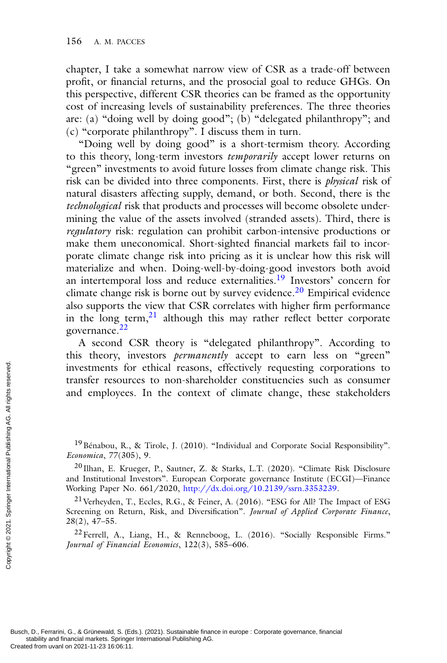chapter, I take a somewhat narrow view of CSR as a trade-off between profit, or financial returns, and the prosocial goal to reduce GHGs. On this perspective, different CSR theories can be framed as the opportunity cost of increasing levels of sustainability preferences. The three theories are: (a) "doing well by doing good"; (b) "delegated philanthropy"; and (c) "corporate philanthropy". I discuss them in turn.

"Doing well by doing good" is a short-termism theory. According to this theory, long-term investors *temporarily* accept lower returns on "green" investments to avoid future losses from climate change risk. This risk can be divided into three components. First, there is *physical* risk of natural disasters affecting supply, demand, or both. Second, there is the *technological* risk that products and processes will become obsolete undermining the value of the assets involved (stranded assets). Third, there is *regulatory* risk: regulation can prohibit carbon-intensive productions or make them uneconomical. Short-sighted financial markets fail to incorporate climate change risk into pricing as it is unclear how this risk will materialize and when. Doing-well-by-doing-good investors both avoid an intertemporal loss and reduce externalities.<sup>19</sup> Investors' concern for climate change risk is borne out by survey evidence.<sup>20</sup> Empirical evidence also supports the view that CSR correlates with higher firm performance in the long term, $21$  although this may rather reflect better corporate governance.<sup>22</sup>

A second CSR theory is "delegated philanthropy". According to this theory, investors *permanently* accept to earn less on "green" investments for ethical reasons, effectively requesting corporations to transfer resources to non-shareholder constituencies such as consumer and employees. In the context of climate change, these stakeholders Created from uvanl on 2021-11-23 16:06:11.<br>
Busch, D., Ferraini, G., & Grünewald, S. (Ecception 2021. Publishing Publishing Publishing Publishing Publishing Publishing Publishing Publishing Publishing Publishing Publishin

<sup>19</sup> Bénabou, R., & Tirole, J. (2010). "Individual and Corporate Social Responsibility". *Economica*, 77(305), 9.

<sup>20</sup> Ilhan, E. Krueger, P., Sautner, Z. & Starks, L.T. (2020). "Climate Risk Disclosure and Institutional Investors". European Corporate governance Institute (ECGI)—Finance Working Paper No. 661/2020, [http://dx.doi.org/10.2139/ssrn.3353239.](http://dx.doi.org/10.2139/ssrn.3353239)

21Verheyden, T., Eccles, R.G., & Feiner, A. (2016). "ESG for All? The Impact of ESG Screening on Return, Risk, and Diversification". *Journal of Applied Corporate Finance*, 28(2), 47–55.

22Ferrell, A., Liang, H., & Renneboog, L. (2016). "Socially Responsible Firms." *Journal of Financial Economics*, 122(3), 585–606.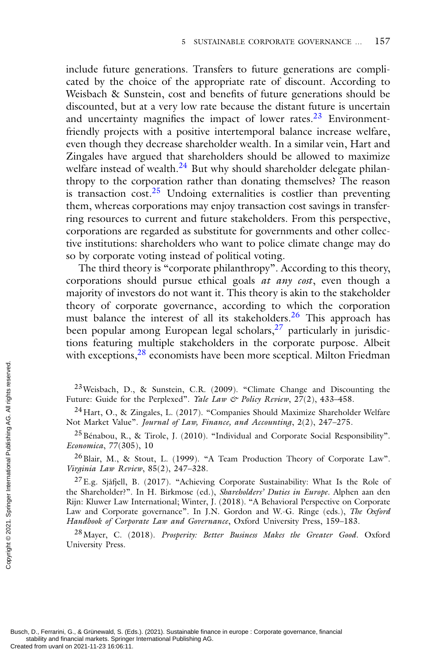include future generations. Transfers to future generations are complicated by the choice of the appropriate rate of discount. According to Weisbach & Sunstein, cost and benefits of future generations should be discounted, but at a very low rate because the distant future is uncertain and uncertainty magnifies the impact of lower rates. $23$  Environmentfriendly projects with a positive intertemporal balance increase welfare, even though they decrease shareholder wealth. In a similar vein, Hart and Zingales have argued that shareholders should be allowed to maximize welfare instead of wealth.<sup>24</sup> But why should shareholder delegate philanthropy to the corporation rather than donating themselves? The reason is transaction  $cost.^{25}$  Undoing externalities is costlier than preventing them, whereas corporations may enjoy transaction cost savings in transferring resources to current and future stakeholders. From this perspective, corporations are regarded as substitute for governments and other collective institutions: shareholders who want to police climate change may do so by corporate voting instead of political voting.

The third theory is "corporate philanthropy". According to this theory, corporations should pursue ethical goals *at any cost*, even though a majority of investors do not want it. This theory is akin to the stakeholder theory of corporate governance, according to which the corporation must balance the interest of all its stakeholders.<sup>26</sup> This approach has been popular among European legal scholars, $27$  particularly in jurisdictions featuring multiple stakeholders in the corporate purpose. Albeit with exceptions,<sup>28</sup> economists have been more sceptical. Milton Friedman

 $23$ Weisbach, D., & Sunstein, C.R. (2009). "Climate Change and Discounting the Future: Guide for the Perplexed". *Yale Law & Policy Review*, 27(2), 433–458.

 $^{24}$ Hart, O., & Zingales, L. (2017). "Companies Should Maximize Shareholder Welfare Not Market Value". *Journal of Law, Finance, and Accounting*, 2(2), 247–275.

25Bénabou, R., & Tirole, J. (2010). "Individual and Corporate Social Responsibility". *Economica*, 77(305), 10

26Blair, M., & Stout, L. (1999). "A Team Production Theory of Corporate Law". *Virginia Law Review*, 85(2), 247–328.

 $^{27}$ E.g. Sjåfjell, B. (2017). "Achieving Corporate Sustainability: What Is the Role of the Shareholder?". In H. Birkmose (ed.), *Shareholders' Duties in Europe*. Alphen aan den Rijn: Kluwer Law International; Winter, J. (2018). "A Behavioral Perspective on Corporate Law and Corporate governance". In J.N. Gordon and W.-G. Ringe (eds.), *The Oxford Handbook of Corporate Law and Governance*, Oxford University Press, 159–183. Created from uvanl on 2021-11-23 16:06:11.<br>
Busch, D. Future: Guide for<br>  $2^4$  Hart, O., & Z<br>
Not Market Value'<br>  $2^5$  Bénabou, R.,<br>  $Economica$ ,  $77(305$ <br>  $2^6$  Blair, M., &<br>  $Virginia Law Review 27$ <br>  $2^7$  E.g. Sjåfjell, 1<br>
the Sharehold

28Mayer, C. (2018). *Prosperity: Better Business Makes the Greater Good*. Oxford University Press.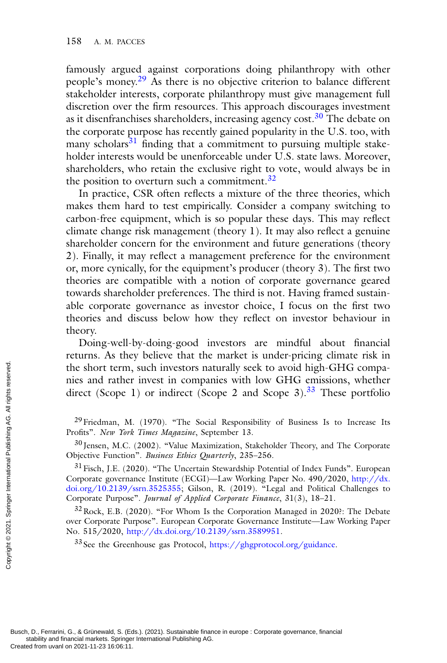famously argued against corporations doing philanthropy with other people's money.<sup>29</sup> As there is no objective criterion to balance different stakeholder interests, corporate philanthropy must give management full discretion over the firm resources. This approach discourages investment as it disenfranchises shareholders, increasing agency cost.<sup>30</sup> The debate on the corporate purpose has recently gained popularity in the U.S. too, with many scholars<sup>31</sup> finding that a commitment to pursuing multiple stakeholder interests would be unenforceable under U.S. state laws. Moreover, shareholders, who retain the exclusive right to vote, would always be in the position to overturn such a commitment.<sup>32</sup>

In practice, CSR often reflects a mixture of the three theories, which makes them hard to test empirically. Consider a company switching to carbon-free equipment, which is so popular these days. This may reflect climate change risk management (theory 1). It may also reflect a genuine shareholder concern for the environment and future generations (theory 2). Finally, it may reflect a management preference for the environment or, more cynically, for the equipment's producer (theory 3). The first two theories are compatible with a notion of corporate governance geared towards shareholder preferences. The third is not. Having framed sustainable corporate governance as investor choice, I focus on the first two theories and discuss below how they reflect on investor behaviour in theory.

Doing-well-by-doing-good investors are mindful about financial returns. As they believe that the market is under-pricing climate risk in the short term, such investors naturally seek to avoid high-GHG companies and rather invest in companies with low GHG emissions, whether direct (Scope 1) or indirect (Scope 2 and Scope 3).<sup>33</sup> These portfolio

 $32$  Rock, E.B. (2020). "For Whom Is the Corporation Managed in 2020?: The Debate over Corporate Purpose". European Corporate Governance Institute—Law Working Paper No. 515/2020, [http://dx.doi.org/10.2139/ssrn.3589951.](http://dx.doi.org/10.2139/ssrn.3589951)

<sup>33</sup> See the Greenhouse gas Protocol, [https://ghgprotocol.org/guidance.](https://ghgprotocol.org/guidance)

 $^{29}$  Friedman, M. (1970). "The Social Responsibility of Business Is to Increase Its Profits". *New York Times Magazine*, September 13.

<sup>&</sup>lt;sup>30</sup> Jensen, M.C. (2002). "Value Maximization, Stakeholder Theory, and The Corporate Objective Function". *Business Ethics Quarterly*, 235–256.

<sup>&</sup>lt;sup>31</sup> Fisch, J.E. (2020). "The Uncertain Stewardship Potential of Index Funds". European Corporate governance Institute (ECGI)—Law Working Paper No. 490/2020, http://dx. [doi.org/10.2139/ssrn.3525355; Gilson, R. \(2019\). "Legal and Political Challenges to](http://dx.doi.org/10.2139/ssrn.3525355) Corporate Purpose". *Journal of Applied Corporate Finance*, 31(3), 18–21. The short term,<br>
nies and rather<br>
direct (Scope 1<br>
direct (Scope 1<br>
<sup>29</sup> Friedman, M.<br>
Profits". *New York*<br>
<sup>30</sup> Jensen, M.C.<br>
<sup>31</sup> Fisch, J.E. (20<br>
Corporate powernational Purpose<br>
Corporate Purpose<br>  $\frac{32 \text{ Rock}}{32 \text{ Rock}}$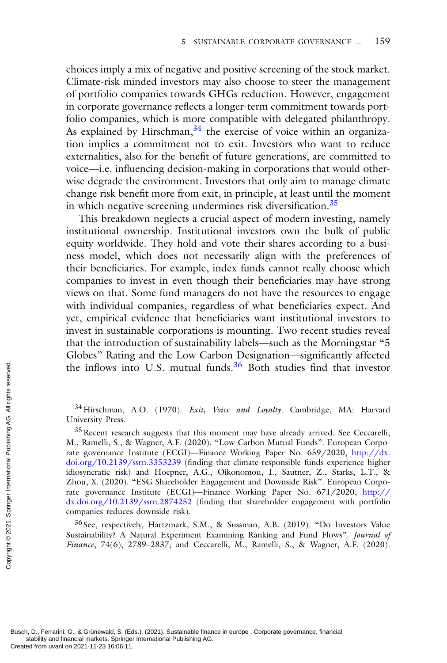choices imply a mix of negative and positive screening of the stock market. Climate-risk minded investors may also choose to steer the management of portfolio companies towards GHGs reduction. However, engagement in corporate governance reflects a longer-term commitment towards portfolio companies, which is more compatible with delegated philanthropy. As explained by Hirschman,  $34$  the exercise of voice within an organization implies a commitment not to exit. Investors who want to reduce externalities, also for the benefit of future generations, are committed to voice—i.e. influencing decision-making in corporations that would otherwise degrade the environment. Investors that only aim to manage climate change risk benefit more from exit, in principle, at least until the moment in which negative screening undermines risk diversification.<sup>35</sup>

This breakdown neglects a crucial aspect of modern investing, namely institutional ownership. Institutional investors own the bulk of public equity worldwide. They hold and vote their shares according to a business model, which does not necessarily align with the preferences of their beneficiaries. For example, index funds cannot really choose which companies to invest in even though their beneficiaries may have strong views on that. Some fund managers do not have the resources to engage with individual companies, regardless of what beneficiaries expect. And yet, empirical evidence that beneficiaries want institutional investors to invest in sustainable corporations is mounting. Two recent studies reveal that the introduction of sustainability labels—such as the Morningstar "5 Globes" Rating and the Low Carbon Designation—significantly affected the inflows into U.S. mutual funds.36 Both studies find that investor

34Hirschman, A.O. (1970). *Exit, Voice and Loyalty*. Cambridge, MA: Harvard University Press.

<sup>35</sup> Recent research suggests that this moment may have already arrived. See Ceccarelli, M., Ramelli, S., & Wagner, A.F. (2020). "Low-Carbon Mutual Funds". European Corpo[rate governance Institute \(ECGI\)—Finance Working Paper No. 659/2020,](http://dx.doi.org/10.2139/ssrn.3353239) http://dx. doi.org/10.2139/ssrn.3353239 (finding that climate-responsible funds experience higher idiosyncratic risk) and Hoepner, A.G., Oikonomou, I., Sautner, Z., Starks, L.T., & Zhou, X. (2020). "ESG Shareholder Engagement and Downside Risk". European Corpo[rate governance Institute \(ECGI\)—Finance Working Paper No. 671/2020,](http://dx.doi.org/10.2139/ssrn.2874252) http:// dx.doi.org/10.2139/ssrn.2874252 (finding that shareholder engagement with portfolio companies reduces downside risk). The inflows int<br>
Segment on 24 Hirschman, 1<br>
University Press.<br>  $35$  Recent researc<br>  $M$ , Ramelli, S., &<br>
rate governance II<br>
doi.org/10.2139/<br>
idiosyncratic risk)<br>
Zhou, X. (2020).<br>
rate governance I<br>
dx.doi.org/10.213<br>

<sup>36</sup> See, respectively, Hartzmark, S.M., & Sussman, A.B. (2019). "Do Investors Value Sustainability? A Natural Experiment Examining Ranking and Fund Flows". *Journal of Finance*, 74(6), 2789–2837; and Ceccarelli, M., Ramelli, S., & Wagner, A.F. (2020).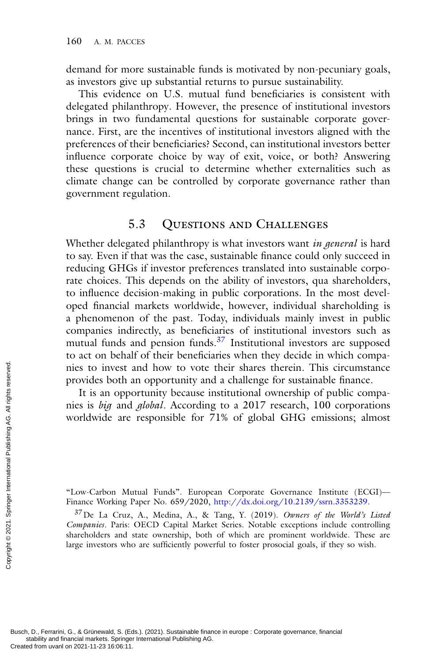demand for more sustainable funds is motivated by non-pecuniary goals, as investors give up substantial returns to pursue sustainability.

This evidence on U.S. mutual fund beneficiaries is consistent with delegated philanthropy. However, the presence of institutional investors brings in two fundamental questions for sustainable corporate governance. First, are the incentives of institutional investors aligned with the preferences of their beneficiaries? Second, can institutional investors better influence corporate choice by way of exit, voice, or both? Answering these questions is crucial to determine whether externalities such as climate change can be controlled by corporate governance rather than government regulation.

## 5.3 Questions and Challenges

Whether delegated philanthropy is what investors want *in general* is hard to say. Even if that was the case, sustainable finance could only succeed in reducing GHGs if investor preferences translated into sustainable corporate choices. This depends on the ability of investors, qua shareholders, to influence decision-making in public corporations. In the most developed financial markets worldwide, however, individual shareholding is a phenomenon of the past. Today, individuals mainly invest in public companies indirectly, as beneficiaries of institutional investors such as mutual funds and pension funds.<sup>37</sup> Institutional investors are supposed to act on behalf of their beneficiaries when they decide in which companies to invest and how to vote their shares therein. This circumstance provides both an opportunity and a challenge for sustainable finance.

It is an opportunity because institutional ownership of public companies is *big* and *global*. According to a 2017 research, 100 corporations worldwide are responsible for 71% of global GHG emissions; almost

"Low-Carbon Mutual Funds". European Corporate Governance Institute (ECGI)— Finance Working Paper No. 659/2020, [http://dx.doi.org/10.2139/ssrn.3353239.](http://dx.doi.org/10.2139/ssrn.3353239)

37De La Cruz, A., Medina, A., & Tang, Y. (2019). *Owners of the World's Listed Companies*. Paris: OECD Capital Market Series. Notable exceptions include controlling shareholders and state ownership, both of which are prominent worldwide. These are large investors who are sufficiently powerful to foster prosocial goals, if they so wish. The created from uvanl on 2021-11-23 16:06:11.<br>
Busch, D., Ferrarini, G., & Grünewald, S. (Ecreated from uvanl on 2021-11-23 16:06:11.<br>
Created from uvanl on 2021-11-23 16:06:11.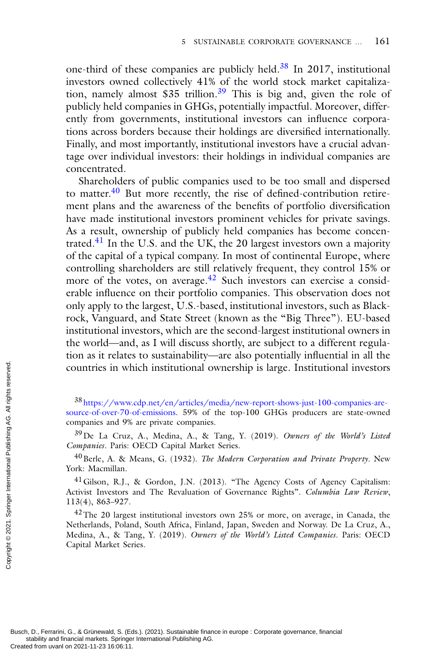one-third of these companies are publicly held.38 In 2017, institutional investors owned collectively 41% of the world stock market capitalization, namely almost \$35 trillion.<sup>39</sup> This is big and, given the role of publicly held companies in GHGs, potentially impactful. Moreover, differently from governments, institutional investors can influence corporations across borders because their holdings are diversified internationally. Finally, and most importantly, institutional investors have a crucial advantage over individual investors: their holdings in individual companies are concentrated.

Shareholders of public companies used to be too small and dispersed to matter.<sup>40</sup> But more recently, the rise of defined-contribution retirement plans and the awareness of the benefits of portfolio diversification have made institutional investors prominent vehicles for private savings. As a result, ownership of publicly held companies has become concentrated. $41$  In the U.S. and the UK, the 20 largest investors own a majority of the capital of a typical company. In most of continental Europe, where controlling shareholders are still relatively frequent, they control 15% or more of the votes, on average.<sup>42</sup> Such investors can exercise a considerable influence on their portfolio companies. This observation does not only apply to the largest, U.S.-based, institutional investors, such as Blackrock, Vanguard, and State Street (known as the "Big Three"). EU-based institutional investors, which are the second-largest institutional owners in the world—and, as I will discuss shortly, are subject to a different regulation as it relates to sustainability—are also potentially influential in all the countries in which institutional ownership is large. Institutional investors

<sup>38</sup> https://www.cdp.net/en/articles/media/new-report-shows-just-100-companies-are-

40Berle, A. & Means, G. (1932). *The Modern Corporation and Private Property*. New York: Macmillan.

<sup>41</sup>Gilson, R.J., & Gordon, J.N. (2013). "The Agency Costs of Agency Capitalism: Activist Investors and The Revaluation of Governance Rights". *Columbia Law Review*, 113(4), 863–927.

 $42$ The 20 largest institutional investors own 25% or more, on average, in Canada, the Netherlands, Poland, South Africa, Finland, Japan, Sweden and Norway. De La Cruz, A., Medina, A., & Tang, Y. (2019). *Owners of the World's Listed Companies*. Paris: OECD Capital Market Series. Countries in wh<br>
se international on 2021-11-23 16:06:11.<br>
source-of-over-70-companies and 9%<br>
39 De La Cruz,<br> *Companies*. Paris:<br>
40 Berle, A. & N<br>
York: Macmillan.<br>
<sup>41</sup> Gilson, R.J.,<br>
Activist Investors :<br>
113(4), 863

[source-of-over-70-of-emissions. 59% of the top-100 GHGs producers are state-owned](https://www.cdp.net/en/articles/media/new-report-shows-just-100-companies-are-source-of-over-70-of-emissions) companies and 9% are private companies.

<sup>39</sup>De La Cruz, A., Medina, A., & Tang, Y. (2019). *Owners of the World's Listed Companies*. Paris: OECD Capital Market Series.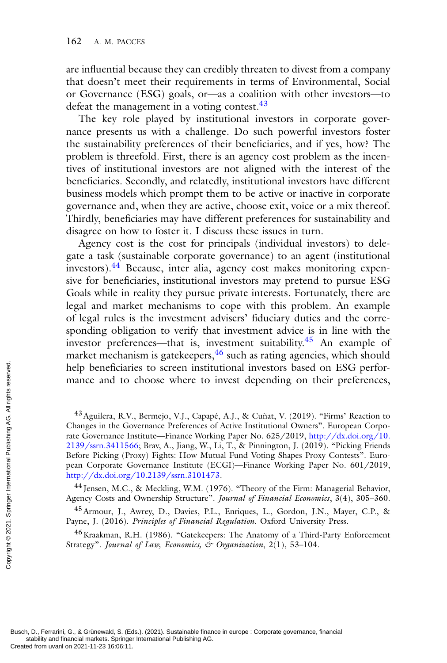are influential because they can credibly threaten to divest from a company that doesn't meet their requirements in terms of Environmental, Social or Governance (ESG) goals, or—as a coalition with other investors—to defeat the management in a voting contest.<sup>43</sup>

The key role played by institutional investors in corporate governance presents us with a challenge. Do such powerful investors foster the sustainability preferences of their beneficiaries, and if yes, how? The problem is threefold. First, there is an agency cost problem as the incentives of institutional investors are not aligned with the interest of the beneficiaries. Secondly, and relatedly, institutional investors have different business models which prompt them to be active or inactive in corporate governance and, when they are active, choose exit, voice or a mix thereof. Thirdly, beneficiaries may have different preferences for sustainability and disagree on how to foster it. I discuss these issues in turn.

Agency cost is the cost for principals (individual investors) to delegate a task (sustainable corporate governance) to an agent (institutional investors).<sup>44</sup> Because, inter alia, agency cost makes monitoring expensive for beneficiaries, institutional investors may pretend to pursue ESG Goals while in reality they pursue private interests. Fortunately, there are legal and market mechanisms to cope with this problem. An example of legal rules is the investment advisers' fiduciary duties and the corresponding obligation to verify that investment advice is in line with the investor preferences—that is, investment suitability.<sup>45</sup> An example of market mechanism is gatekeepers,<sup>46</sup> such as rating agencies, which should help beneficiaries to screen institutional investors based on ESG performance and to choose where to invest depending on their preferences,

<sup>44</sup> Jensen, M.C., & Meckling, W.M. (1976). "Theory of the Firm: Managerial Behavior, Agency Costs and Ownership Structure". *Journal of Financial Economics*, 3(4), 305–360.

<sup>45</sup> Armour, J., Awrey, D., Davies, P.L., Enriques, L., Gordon, J.N., Mayer, C.P., & Payne, J. (2016). *Principles of Financial Regulation*. Oxford University Press.

46Kraakman, R.H. (1986). "Gatekeepers: The Anatomy of a Third-Party Enforcement Strategy". *Journal of Law, Economics, & Organization*, 2(1), 53–104.

<sup>&</sup>lt;sup>43</sup> Aguilera, R.V., Bermejo, V.J., Capapé, A.J., & Cuñat, V. (2019). "Firms' Reaction to Changes in the Governance Preferences of Active Institutional Owners". European Corporate Governance Institute—Finance Working Paper No. 625/2019, http://dx.doi.org/10. [2139/ssrn.3411566; Brav, A., Jiang, W., Li, T., & Pinnington, J. \(2019\). "Picking Friends](http://dx.doi.org/10.2139/ssrn.3411566) Before Picking (Proxy) Fights: How Mutual Fund Voting Shapes Proxy Contests". European Corporate Governance Institute (ECGI)—Finance Working Paper No. 601/2019, [http://dx.doi.org/10.2139/ssrn.3101473.](http://dx.doi.org/10.2139/ssrn.3101473) From uvanlet and to mance and to mance and to mance and to mance and to mance and to  $2139$  /ssrn. 341156  $2139$ /ssrn. 341156  $2139$ /ssrn. 341156  $2139$ /ssrn. 341156  $2139$ /ssrn. 341156  $20$   $2016$   $2016$   $2016$   $2016$   $2$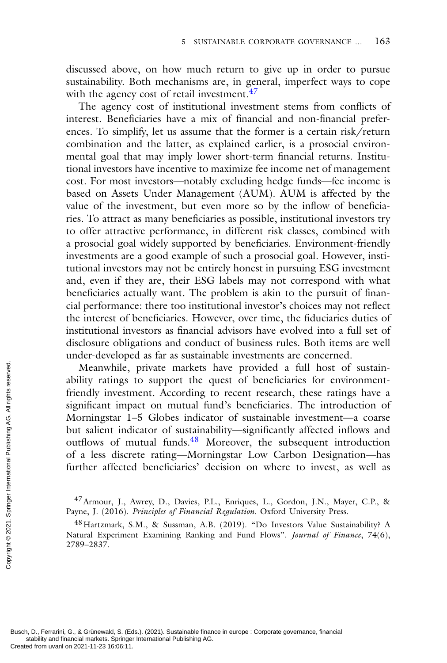discussed above, on how much return to give up in order to pursue sustainability. Both mechanisms are, in general, imperfect ways to cope with the agency cost of retail investment.<sup>47</sup>

The agency cost of institutional investment stems from conflicts of interest. Beneficiaries have a mix of financial and non-financial preferences. To simplify, let us assume that the former is a certain risk/return combination and the latter, as explained earlier, is a prosocial environmental goal that may imply lower short-term financial returns. Institutional investors have incentive to maximize fee income net of management cost. For most investors—notably excluding hedge funds—fee income is based on Assets Under Management (AUM). AUM is affected by the value of the investment, but even more so by the inflow of beneficiaries. To attract as many beneficiaries as possible, institutional investors try to offer attractive performance, in different risk classes, combined with a prosocial goal widely supported by beneficiaries. Environment-friendly investments are a good example of such a prosocial goal. However, institutional investors may not be entirely honest in pursuing ESG investment and, even if they are, their ESG labels may not correspond with what beneficiaries actually want. The problem is akin to the pursuit of financial performance: there too institutional investor's choices may not reflect the interest of beneficiaries. However, over time, the fiduciaries duties of institutional investors as financial advisors have evolved into a full set of disclosure obligations and conduct of business rules. Both items are well under-developed as far as sustainable investments are concerned.

Meanwhile, private markets have provided a full host of sustainability ratings to support the quest of beneficiaries for environmentfriendly investment. According to recent research, these ratings have a significant impact on mutual fund's beneficiaries. The introduction of Morningstar 1–5 Globes indicator of sustainable investment—a coarse but salient indicator of sustainability—significantly affected inflows and outflows of mutual funds.<sup>48</sup> Moreover, the subsequent introduction of a less discrete rating—Morningstar Low Carbon Designation—has further affected beneficiaries' decision on where to invest, as well as Meanwhile,<br>
ability ratings<br>
friendly investriant<br>
significant imp<br>
Morningstar 1-<br>
but salient ind<br>
outflows of m<br>
of a less discret<br>
further affected<br>
further affected<br>
served. The Payne, J. (2016).<br>
48 Hartzmark, S.<br>
N

<sup>47</sup>Armour, J., Awrey, D., Davies, P.L., Enriques, L., Gordon, J.N., Mayer, C.P., & Payne, J. (2016). *Principles of Financial Regulation*. Oxford University Press.

<sup>48</sup>Hartzmark, S.M., & Sussman, A.B. (2019). "Do Investors Value Sustainability? A Natural Experiment Examining Ranking and Fund Flows". *Journal of Finance*, 74(6), 2789–2837.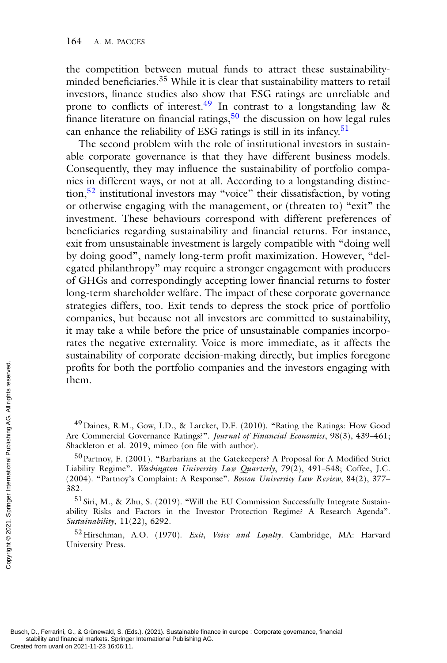the competition between mutual funds to attract these sustainabilityminded beneficiaries.<sup>35</sup> While it is clear that sustainability matters to retail investors, finance studies also show that ESG ratings are unreliable and prone to conflicts of interest.<sup>49</sup> In contrast to a longstanding law & finance literature on financial ratings,  $50$  the discussion on how legal rules can enhance the reliability of ESG ratings is still in its infancy.<sup>51</sup>

The second problem with the role of institutional investors in sustainable corporate governance is that they have different business models. Consequently, they may influence the sustainability of portfolio companies in different ways, or not at all. According to a longstanding distinction,<sup>52</sup> institutional investors may "voice" their dissatisfaction, by voting or otherwise engaging with the management, or (threaten to) "exit" the investment. These behaviours correspond with different preferences of beneficiaries regarding sustainability and financial returns. For instance, exit from unsustainable investment is largely compatible with "doing well by doing good", namely long-term profit maximization. However, "delegated philanthropy" may require a stronger engagement with producers of GHGs and correspondingly accepting lower financial returns to foster long-term shareholder welfare. The impact of these corporate governance strategies differs, too. Exit tends to depress the stock price of portfolio companies, but because not all investors are committed to sustainability, it may take a while before the price of unsustainable companies incorporates the negative externality. Voice is more immediate, as it affects the sustainability of corporate decision-making directly, but implies foregone profits for both the portfolio companies and the investors engaging with them.

 $49$  Daines, R.M., Gow, I.D., & Larcker, D.F. (2010). "Rating the Ratings: How Good Are Commercial Governance Ratings?". *Journal of Financial Economics*, 98(3), 439–461; Shackleton et al. 2019, mimeo (on file with author).

50Partnoy, F. (2001). "Barbarians at the Gatekeepers? A Proposal for A Modified Strict Liability Regime". *Washington University Law Quarterly*, 79(2), 491–548; Coffee, J.C. (2004). "Partnoy's Complaint: A Response". *Boston University Law Review*, 84(2), 377– 382. Profits for both<br>
them.<br>  $\frac{1}{2}$  international Creation of al. 2<br>  $\frac{1}{2}$ <br>  $\frac{1}{2}$ <br>  $\frac{1}{2}$ <br>  $\frac{1}{2}$ <br>  $\frac{1}{2}$ <br>  $\frac{1}{2}$ <br>  $\frac{1}{2}$ <br>  $\frac{1}{2}$ <br>  $\frac{1}{2}$ <br>  $\frac{1}{2}$ <br>  $\frac{1}{2}$ <br>  $\frac{1}{2}$ <br>  $\frac{1}{2}$ <br>  $\frac{1}{2}$ <br>

<sup>51</sup> Siri, M., & Zhu, S. (2019). "Will the EU Commission Successfully Integrate Sustainability Risks and Factors in the Investor Protection Regime? A Research Agenda". *Sustainability*, 11(22), 6292.

52Hirschman, A.O. (1970). *Exit, Voice and Loyalty*. Cambridge, MA: Harvard University Press.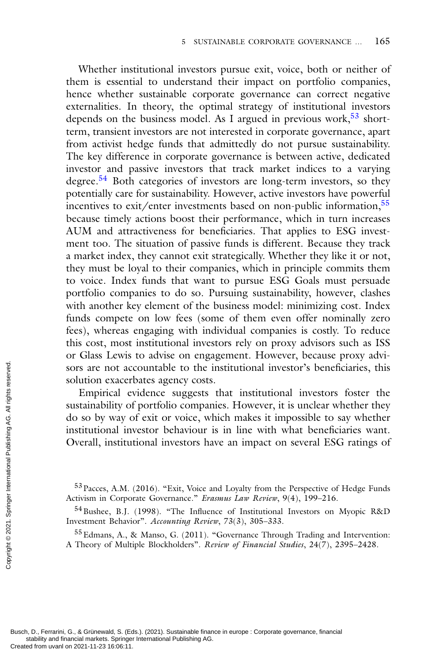Whether institutional investors pursue exit, voice, both or neither of them is essential to understand their impact on portfolio companies, hence whether sustainable corporate governance can correct negative externalities. In theory, the optimal strategy of institutional investors depends on the business model. As I argued in previous work,  $53$  shortterm, transient investors are not interested in corporate governance, apart from activist hedge funds that admittedly do not pursue sustainability. The key difference in corporate governance is between active, dedicated investor and passive investors that track market indices to a varying degree.54 Both categories of investors are long-term investors, so they potentially care for sustainability. However, active investors have powerful incentives to exit/enter investments based on non-public information,<sup>55</sup> because timely actions boost their performance, which in turn increases AUM and attractiveness for beneficiaries. That applies to ESG investment too. The situation of passive funds is different. Because they track a market index, they cannot exit strategically. Whether they like it or not, they must be loyal to their companies, which in principle commits them to voice. Index funds that want to pursue ESG Goals must persuade portfolio companies to do so. Pursuing sustainability, however, clashes with another key element of the business model: minimizing cost. Index funds compete on low fees (some of them even offer nominally zero fees), whereas engaging with individual companies is costly. To reduce this cost, most institutional investors rely on proxy advisors such as ISS or Glass Lewis to advise on engagement. However, because proxy advisors are not accountable to the institutional investor's beneficiaries, this solution exacerbates agency costs.

Empirical evidence suggests that institutional investors foster the sustainability of portfolio companies. However, it is unclear whether they do so by way of exit or voice, which makes it impossible to say whether institutional investor behaviour is in line with what beneficiaries want. Overall, institutional investors have an impact on several ESG ratings of From the solution exact control of the sustainability of do so by way contributed from uvanly institutional international Publishing Publishing and the served from uvanl on 2021-11-23 16:06:11.<br>
Busch, D., Ferrarini, G.,

55Edmans, A., & Manso, G. (2011). "Governance Through Trading and Intervention: A Theory of Multiple Blockholders". *Review of Financial Studies*, 24(7), 2395–2428.

<sup>53</sup>Pacces, A.M. (2016). "Exit, Voice and Loyalty from the Perspective of Hedge Funds Activism in Corporate Governance." *Erasmus Law Review*, 9(4), 199–216.

<sup>&</sup>lt;sup>54</sup> Bushee, B.J. (1998). "The Influence of Institutional Investors on Myopic R&D Investment Behavior". *Accounting Review*, 73(3), 305–333.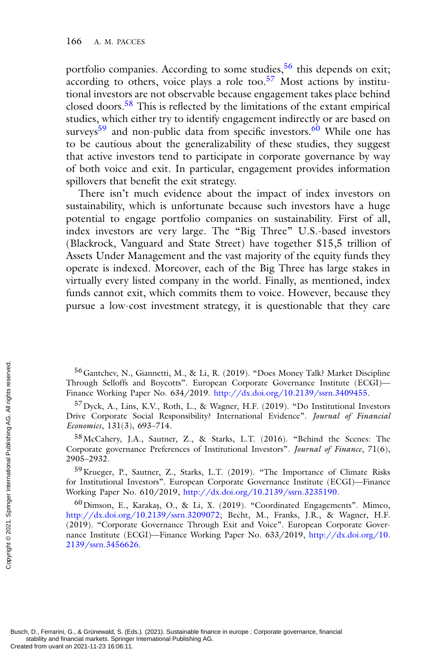portfolio companies. According to some studies,<sup>56</sup> this depends on exit; according to others, voice plays a role too.<sup>57</sup> Most actions by institutional investors are not observable because engagement takes place behind closed doors.<sup>58</sup> This is reflected by the limitations of the extant empirical studies, which either try to identify engagement indirectly or are based on surveys<sup>59</sup> and non-public data from specific investors.<sup>60</sup> While one has to be cautious about the generalizability of these studies, they suggest that active investors tend to participate in corporate governance by way of both voice and exit. In particular, engagement provides information spillovers that benefit the exit strategy.

There isn't much evidence about the impact of index investors on sustainability, which is unfortunate because such investors have a huge potential to engage portfolio companies on sustainability. First of all, index investors are very large. The "Big Three" U.S.-based investors (Blackrock, Vanguard and State Street) have together \$15,5 trillion of Assets Under Management and the vast majority of the equity funds they operate is indexed. Moreover, each of the Big Three has large stakes in virtually every listed company in the world. Finally, as mentioned, index funds cannot exit, which commits them to voice. However, because they pursue a low-cost investment strategy, it is questionable that they care

56Gantchev, N., Giannetti, M., & Li, R. (2019). "Does Money Talk? Market Discipline Through Selloffs and Boycotts". European Corporate Governance Institute (ECGI)— Finance Working Paper No. 634/2019. [http://dx.doi.org/10.2139/ssrn.3409455.](http://dx.doi.org/10.2139/ssrn.3409455)

57Dyck, A., Lins, K.V., Roth, L., & Wagner, H.F. (2019). "Do Institutional Investors Drive Corporate Social Responsibility? International Evidence". *Journal of Financial Economics*, 131(3), 693–714.

58McCahery, J.A., Sautner, Z., & Starks, L.T. (2016). "Behind the Scenes: The Corporate governance Preferences of Institutional Investors". *Journal of Finance*, 71(6), 2905–2932.

59Krueger, P., Sautner, Z., Starks, L.T. (2019). "The Importance of Climate Risks for Institutional Investors". European Corporate Governance Institute (ECGI)—Finance Working Paper No. 610/2019, [http://dx.doi.org/10.2139/ssrn.3235190.](http://dx.doi.org/10.2139/ssrn.3235190)

 $^{60}$ Dimson, E., Karakaş, O., & Li, X. (2019). "Coordinated Engagements". Mimeo, [http://dx.doi.org/10.2139/ssrn.3209072;](http://dx.doi.org/10.2139/ssrn.3209072) Becht, M., Franks, J.R., & Wagner, H.F. (2019). "Corporate Governance Through Exit and Voice". European Corporate Gover[nance Institute \(ECGI\)—Finance Working Paper No. 633/2019,](http://dx.doi.org/10.2139/ssrn.3456626) http://dx.doi.org/10. 2139/ssrn.3456626. From UVA Continues of Gantchev, N., Through Selloffs<br>
Finance Working I<br>
Finance Working I<br>
From UVA A., Lin<br>
Drive Corporate<br> *Economics*, 131(3),<br>
58 McCahery, J.<br>
Corporate governational Publishing Paper No<br>
2905–2932.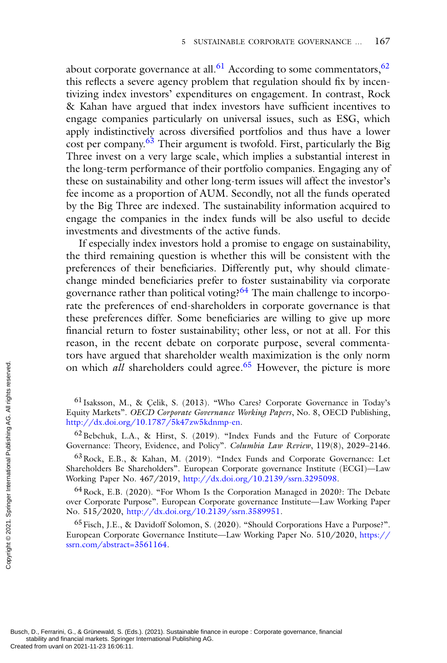about corporate governance at all.<sup>61</sup> According to some commentators,  $62$ this reflects a severe agency problem that regulation should fix by incentivizing index investors' expenditures on engagement. In contrast, Rock & Kahan have argued that index investors have sufficient incentives to engage companies particularly on universal issues, such as ESG, which apply indistinctively across diversified portfolios and thus have a lower  $\cos t$  per company.<sup>63</sup> Their argument is twofold. First, particularly the Big Three invest on a very large scale, which implies a substantial interest in the long-term performance of their portfolio companies. Engaging any of these on sustainability and other long-term issues will affect the investor's fee income as a proportion of AUM. Secondly, not all the funds operated by the Big Three are indexed. The sustainability information acquired to engage the companies in the index funds will be also useful to decide investments and divestments of the active funds.

If especially index investors hold a promise to engage on sustainability, the third remaining question is whether this will be consistent with the preferences of their beneficiaries. Differently put, why should climatechange minded beneficiaries prefer to foster sustainability via corporate governance rather than political voting?<sup>64</sup> The main challenge to incorporate the preferences of end-shareholders in corporate governance is that these preferences differ. Some beneficiaries are willing to give up more financial return to foster sustainability; other less, or not at all. For this reason, in the recent debate on corporate purpose, several commentators have argued that shareholder wealth maximization is the only norm on which *all* shareholders could agree.<sup>65</sup> However, the picture is more

63Rock, E.B., & Kahan, M. (2019). "Index Funds and Corporate Governance: Let Shareholders Be Shareholders". European Corporate governance Institute (ECGI)—Law Working Paper No. 467/2019, [http://dx.doi.org/10.2139/ssrn.3295098.](http://dx.doi.org/10.2139/ssrn.3295098)

64Rock, E.B. (2020). "For Whom Is the Corporation Managed in 2020?: The Debate over Corporate Purpose". European Corporate governance Institute—Law Working Paper No. 515/2020, [http://dx.doi.org/10.2139/ssrn.3589951.](http://dx.doi.org/10.2139/ssrn.3589951)

<sup>65</sup> Fisch, J.E., & Davidoff Solomon, S. (2020). "Should Corporations Have a Purpose?". [European Corporate Governance Institute—Law Working Paper No. 510/2020,](https://ssrn.com/abstract=3561164) https:// ssrn.com/abstract=3561164.

Busch, D., Ferrarini, G., & Grünewald, S. (Eds.). (2021). Sustainable finance in europe : Corporate governance, financial stability and financial markets. Springer International Publishing AG.<br>Created from uvanl on 2021-11-23 16:06:11. Created from uvanlon 2021-11-23 16:06:11.<br>
Busch, D., Ferraini, G., & Grünewald, S. (Exercise 16:06)<br>
Busch, D., Ferraini, G., & Grünewald, S. (E. S. All rights reserved. From the Springer International Publishing Publish

 $61$  Isaksson, M., & Çelik, S. (2013). "Who Cares? Corporate Governance in Today's Equity Markets". *OECD Corporate Governance Working Papers*, No. 8, OECD Publishing, [http://dx.doi.org/10.1787/5k47zw5kdnmp-en.](http://dx.doi.org/10.1787/5k47zw5kdnmp-en)

<sup>62</sup>Bebchuk, L.A., & Hirst, S. (2019). "Index Funds and the Future of Corporate Governance: Theory, Evidence, and Policy". *Columbia Law Review*, 119(8), 2029–2146.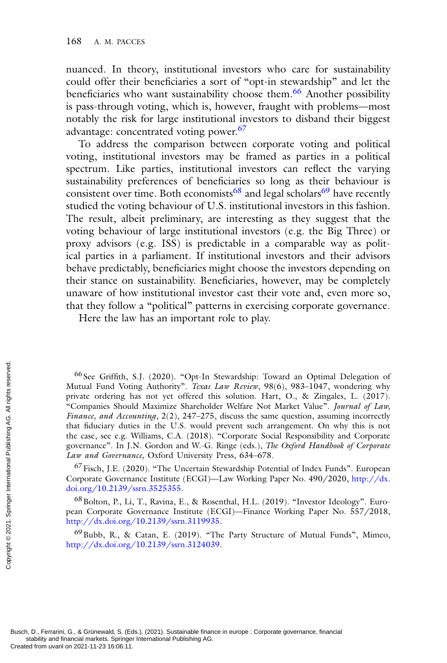nuanced. In theory, institutional investors who care for sustainability could offer their beneficiaries a sort of "opt-in stewardship" and let the beneficiaries who want sustainability choose them.<sup>66</sup> Another possibility is pass-through voting, which is, however, fraught with problems—most notably the risk for large institutional investors to disband their biggest advantage: concentrated voting power.<sup>67</sup>

To address the comparison between corporate voting and political voting, institutional investors may be framed as parties in a political spectrum. Like parties, institutional investors can reflect the varying sustainability preferences of beneficiaries so long as their behaviour is consistent over time. Both economists<sup>68</sup> and legal scholars<sup>69</sup> have recently studied the voting behaviour of U.S. institutional investors in this fashion. The result, albeit preliminary, are interesting as they suggest that the voting behaviour of large institutional investors (e.g. the Big Three) or proxy advisors (e.g. ISS) is predictable in a comparable way as political parties in a parliament. If institutional investors and their advisors behave predictably, beneficiaries might choose the investors depending on their stance on sustainability. Beneficiaries, however, may be completely unaware of how institutional investor cast their vote and, even more so, that they follow a "political" patterns in exercising corporate governance.

Here the law has an important role to play.

<sup>66</sup> See Griffith, S.J. (2020). "Opt-In Stewardship: Toward an Optimal Delegation of Mutual Fund Voting Authority". *Texas Law Review*, 98(6), 983–1047, wondering why private ordering has not yet offered this solution. Hart, O., & Zingales, L. (2017). "Companies Should Maximize Shareholder Welfare Not Market Value". *Journal of Law, Finance, and Accounting*, 2(2), 247–275, discuss the same question, assuming incorrectly that fiduciary duties in the U.S. would prevent such arrangement. On why this is not the case, see e.g. Williams, C.A. (2018). "Corporate Social Responsibility and Corporate governance". In J.N. Gordon and W.-G. Ringe (eds.), *The Oxford Handbook of Corporate Law and Governance,* Oxford University Press, 634–678. Created from uvanl on 2021-11-23 16:06:11.<br>
Busch, D., Ferraini, G., & Grünewald, S. (Exerained Salisbility and financial Publishing Created from uvanl on 2021-11-23 16:06:11.<br>
Exerainment Copyright Copyright Copyrights r

<sup>67</sup> Fisch, J.E. (2020). "The Uncertain Stewardship Potential of Index Funds". European [Corporate Governance Institute \(ECGI\)—Law Working Paper No. 490/2020,](http://dx.doi.org/10.2139/ssrn.3525355) http://dx. doi.org/10.2139/ssrn.3525355.

<sup>68</sup> Bolton, P., Li, T., Ravina, E., & Rosenthal, H.L. (2019). "Investor Ideology". European Corporate Governance Institute (ECGI)—Finance Working Paper No. 557/2018, [http://dx.doi.org/10.2139/ssrn.3119935.](http://dx.doi.org/10.2139/ssrn.3119935)

69Bubb, R., & Catan, E. (2019). "The Party Structure of Mutual Funds", Mimeo, [http://dx.doi.org/10.2139/ssrn.3124039.](http://dx.doi.org/10.2139/ssrn.3124039)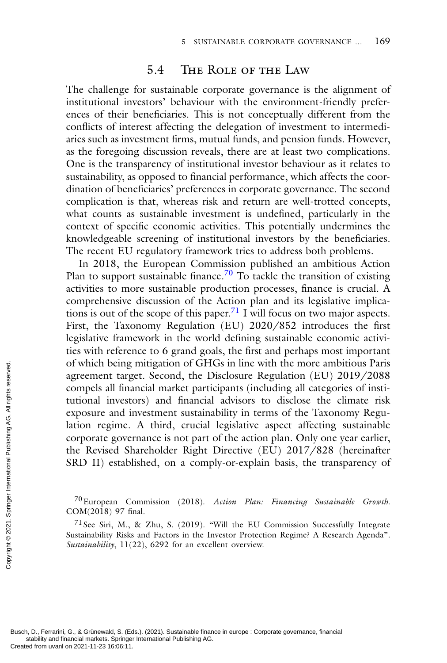## 5.4 The Role of the Law

The challenge for sustainable corporate governance is the alignment of institutional investors' behaviour with the environment-friendly preferences of their beneficiaries. This is not conceptually different from the conflicts of interest affecting the delegation of investment to intermediaries such as investment firms, mutual funds, and pension funds. However, as the foregoing discussion reveals, there are at least two complications. One is the transparency of institutional investor behaviour as it relates to sustainability, as opposed to financial performance, which affects the coordination of beneficiaries' preferences in corporate governance. The second complication is that, whereas risk and return are well-trotted concepts, what counts as sustainable investment is undefined, particularly in the context of specific economic activities. This potentially undermines the knowledgeable screening of institutional investors by the beneficiaries. The recent EU regulatory framework tries to address both problems.

In 2018, the European Commission published an ambitious Action Plan to support sustainable finance.<sup>70</sup> To tackle the transition of existing activities to more sustainable production processes, finance is crucial. A comprehensive discussion of the Action plan and its legislative implications is out of the scope of this paper.<sup>71</sup> I will focus on two major aspects. First, the Taxonomy Regulation (EU) 2020/852 introduces the first legislative framework in the world defining sustainable economic activities with reference to 6 grand goals, the first and perhaps most important of which being mitigation of GHGs in line with the more ambitious Paris agreement target. Second, the Disclosure Regulation (EU) 2019/2088 compels all financial market participants (including all categories of institutional investors) and financial advisors to disclose the climate risk exposure and investment sustainability in terms of the Taxonomy Regulation regime. A third, crucial legislative aspect affecting sustainable corporate governance is not part of the action plan. Only one year earlier, the Revised Shareholder Right Directive (EU) 2017/828 (hereinafter SRD II) established, on a comply-or-explain basis, the transparency of From UVAL TO UVAL THE MANUTE CORE SURVEY (SEE THE SURVEY CREAT AGAINST THE SURVEY CORPORATE SURVEY TO European Corporate governational Publishing and The Revised SF<br>
SRD II) estable and a comparational Publishing AG. All

70European Commission (2018). *Action Plan: Financing Sustainable Growth*. COM(2018) 97 final.

 $71$  See Siri, M., & Zhu, S. (2019). "Will the EU Commission Successfully Integrate Sustainability Risks and Factors in the Investor Protection Regime? A Research Agenda". *Sustainability*, 11(22), 6292 for an excellent overview.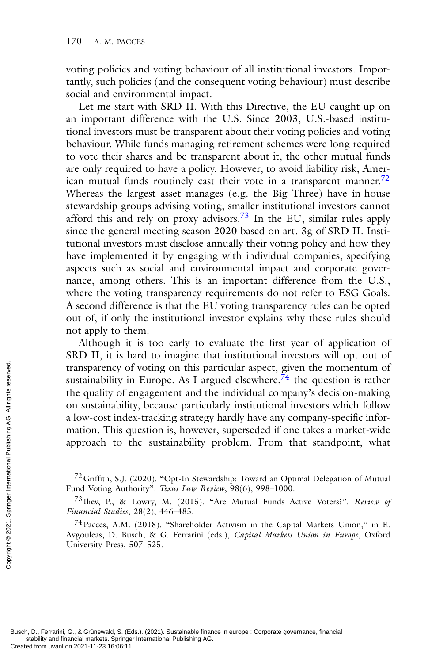voting policies and voting behaviour of all institutional investors. Importantly, such policies (and the consequent voting behaviour) must describe social and environmental impact.

Let me start with SRD II. With this Directive, the EU caught up on an important difference with the U.S. Since 2003, U.S.-based institutional investors must be transparent about their voting policies and voting behaviour. While funds managing retirement schemes were long required to vote their shares and be transparent about it, the other mutual funds are only required to have a policy. However, to avoid liability risk, American mutual funds routinely cast their vote in a transparent manner.<sup>72</sup> Whereas the largest asset manages (e.g. the Big Three) have in-house stewardship groups advising voting, smaller institutional investors cannot afford this and rely on proxy advisors.<sup>73</sup> In the EU, similar rules apply since the general meeting season 2020 based on art. 3g of SRD II. Institutional investors must disclose annually their voting policy and how they have implemented it by engaging with individual companies, specifying aspects such as social and environmental impact and corporate governance, among others. This is an important difference from the U.S., where the voting transparency requirements do not refer to ESG Goals. A second difference is that the EU voting transparency rules can be opted out of, if only the institutional investor explains why these rules should not apply to them.

Although it is too early to evaluate the first year of application of SRD II, it is hard to imagine that institutional investors will opt out of transparency of voting on this particular aspect, given the momentum of sustainability in Europe. As I argued elsewhere,  $\bar{7}^4$  the question is rather the quality of engagement and the individual company's decision-making on sustainability, because particularly institutional investors which follow a low-cost index-tracking strategy hardly have any company-specific information. This question is, however, superseded if one takes a market-wide approach to the sustainability problem. From that standpoint, what Transparency of<br>
the quality of e<br>
the quality of e<br>
on sustainabilit<br>
a low-cost inde<br>
mation. This quapproach to the<br>
mation. This quapproach to the<br>  $\frac{72 \text{ Griffith, S.J.}}{71 \text{t}}$ , S.J. (Fund Voting Auth<br>  $\frac{73 \text{ livev}}{71}$ ,

<sup>72</sup>Griffith, S.J. (2020). "Opt-In Stewardship: Toward an Optimal Delegation of Mutual Fund Voting Authority". *Texas Law Review*, 98(6), 998–1000.

<sup>73</sup> Iliev, P., & Lowry, M. (2015). "Are Mutual Funds Active Voters?". *Review of Financial Studies*, 28(2), 446–485.

<sup>74</sup>Pacces, A.M. (2018). "Shareholder Activism in the Capital Markets Union," in E. Avgouleas, D. Busch, & G. Ferrarini (eds.), *Capital Markets Union in Europe*, Oxford University Press, 507–525.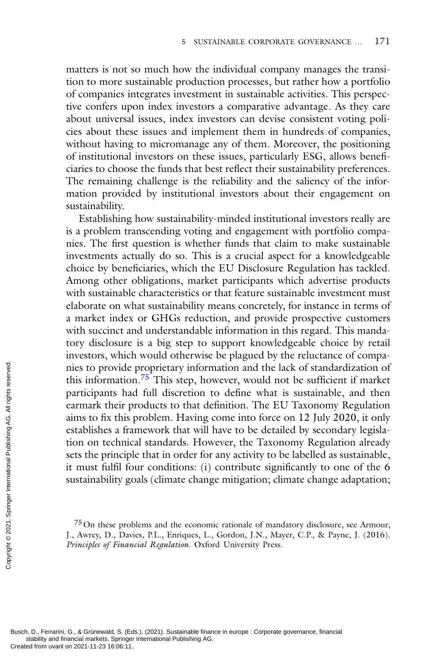matters is not so much how the individual company manages the transition to more sustainable production processes, but rather how a portfolio of companies integrates investment in sustainable activities. This perspective confers upon index investors a comparative advantage. As they care about universal issues, index investors can devise consistent voting policies about these issues and implement them in hundreds of companies, without having to micromanage any of them. Moreover, the positioning of institutional investors on these issues, particularly ESG, allows beneficiaries to choose the funds that best reflect their sustainability preferences. The remaining challenge is the reliability and the saliency of the information provided by institutional investors about their engagement on sustainability.

Establishing how sustainability-minded institutional investors really are is a problem transcending voting and engagement with portfolio companies. The first question is whether funds that claim to make sustainable investments actually do so. This is a crucial aspect for a knowledgeable choice by beneficiaries, which the EU Disclosure Regulation has tackled. Among other obligations, market participants which advertise products with sustainable characteristics or that feature sustainable investment must elaborate on what sustainability means concretely, for instance in terms of a market index or GHGs reduction, and provide prospective customers with succinct and understandable information in this regard. This mandatory disclosure is a big step to support knowledgeable choice by retail investors, which would otherwise be plagued by the reluctance of companies to provide proprietary information and the lack of standardization of this information.<sup>75</sup> This step, however, would not be sufficient if market participants had full discretion to define what is sustainable, and then earmark their products to that definition. The EU Taxonomy Regulation aims to fix this problem. Having come into force on 12 July 2020, it only establishes a framework that will have to be detailed by secondary legislation on technical standards. However, the Taxonomy Regulation already sets the principle that in order for any activity to be labelled as sustainable, it must fulfil four conditions: (i) contribute significantly to one of the 6 sustainability goals (climate change mitigation; climate change adaptation; The set of provide<br>
this information<br>
participants has<br>
earmark their p<br>
aims to fix this<br>
establishes a fra<br>
establishes a fra<br>
establishes a fra<br>
internation on technic<br>
sets the principle<br>
it must fulfil fo<br>
susching B

<sup>75</sup>On these problems and the economic rationale of mandatory disclosure, see Armour, J., Awrey, D., Davies, P.L., Enriques, L., Gordon, J.N., Mayer, C.P., & Payne, J. (2016). *Principles of Financial Regulation*. Oxford University Press.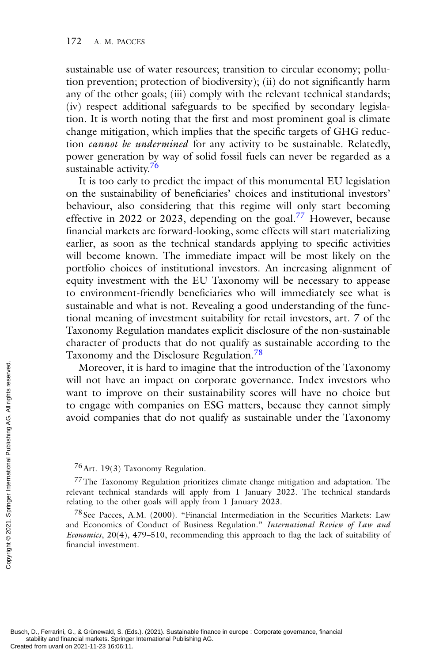sustainable use of water resources; transition to circular economy; pollution prevention; protection of biodiversity); (ii) do not significantly harm any of the other goals; (iii) comply with the relevant technical standards; (iv) respect additional safeguards to be specified by secondary legislation. It is worth noting that the first and most prominent goal is climate change mitigation, which implies that the specific targets of GHG reduction *cannot be undermined* for any activity to be sustainable. Relatedly, power generation by way of solid fossil fuels can never be regarded as a sustainable activity.<sup>76</sup>

It is too early to predict the impact of this monumental EU legislation on the sustainability of beneficiaries' choices and institutional investors' behaviour, also considering that this regime will only start becoming effective in 2022 or 2023, depending on the goal.<sup>77</sup> However, because financial markets are forward-looking, some effects will start materializing earlier, as soon as the technical standards applying to specific activities will become known. The immediate impact will be most likely on the portfolio choices of institutional investors. An increasing alignment of equity investment with the EU Taxonomy will be necessary to appease to environment-friendly beneficiaries who will immediately see what is sustainable and what is not. Revealing a good understanding of the functional meaning of investment suitability for retail investors, art. 7 of the Taxonomy Regulation mandates explicit disclosure of the non-sustainable character of products that do not qualify as sustainable according to the Taxonomy and the Disclosure Regulation.<sup>78</sup>

Moreover, it is hard to imagine that the introduction of the Taxonomy will not have an impact on corporate governance. Index investors who want to improve on their sustainability scores will have no choice but to engage with companies on ESG matters, because they cannot simply avoid companies that do not qualify as sustainable under the Taxonomy Moreover, it<br>
will not have a<br>
want to impro<br>
to engage with<br>
avoid companie<br>
avoid companie<br>
avoid companie<br>
avoid companie<br>  $\frac{76}{100}$ <br>  $\frac{77}{100}$  The Taxonom<br>
relevant technical<br>
relating to the oth<br>  $\frac{78}{100}$  S

#### 76Art. 19(3) Taxonomy Regulation.

77The Taxonomy Regulation prioritizes climate change mitigation and adaptation. The relevant technical standards will apply from 1 January 2022. The technical standards relating to the other goals will apply from 1 January 2023.

<sup>78</sup> See Pacces, A.M. (2000). "Financial Intermediation in the Securities Markets: Law and Economics of Conduct of Business Regulation." *International Review of Law and Economics*, 20(4), 479–510, recommending this approach to flag the lack of suitability of financial investment.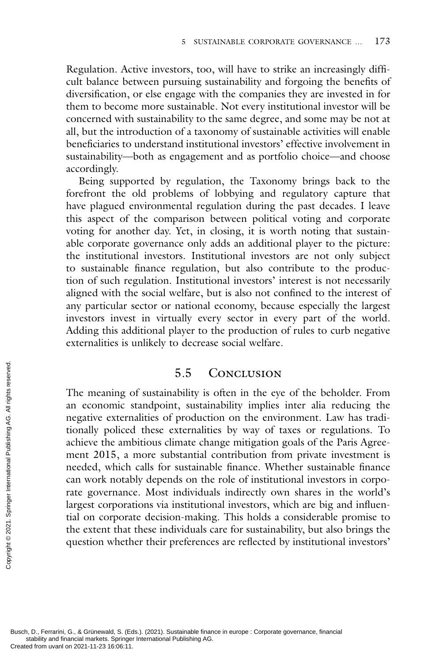Regulation. Active investors, too, will have to strike an increasingly difficult balance between pursuing sustainability and forgoing the benefits of diversification, or else engage with the companies they are invested in for them to become more sustainable. Not every institutional investor will be concerned with sustainability to the same degree, and some may be not at all, but the introduction of a taxonomy of sustainable activities will enable beneficiaries to understand institutional investors' effective involvement in sustainability—both as engagement and as portfolio choice—and choose accordingly.

Being supported by regulation, the Taxonomy brings back to the forefront the old problems of lobbying and regulatory capture that have plagued environmental regulation during the past decades. I leave this aspect of the comparison between political voting and corporate voting for another day. Yet, in closing, it is worth noting that sustainable corporate governance only adds an additional player to the picture: the institutional investors. Institutional investors are not only subject to sustainable finance regulation, but also contribute to the production of such regulation. Institutional investors' interest is not necessarily aligned with the social welfare, but is also not confined to the interest of any particular sector or national economy, because especially the largest investors invest in virtually every sector in every part of the world. Adding this additional player to the production of rules to curb negative externalities is unlikely to decrease social welfare.

## 5.5 Conclusion

The meaning of sustainability is often in the eye of the beholder. From an economic standpoint, sustainability implies inter alia reducing the negative externalities of production on the environment. Law has traditionally policed these externalities by way of taxes or regulations. To achieve the ambitious climate change mitigation goals of the Paris Agreement 2015, a more substantial contribution from private investment is needed, which calls for sustainable finance. Whether sustainable finance can work notably depends on the role of institutional investors in corporate governance. Most individuals indirectly own shares in the world's largest corporations via institutional investors, which are big and influential on corporate decision-making. This holds a considerable promise to the extent that these individuals care for sustainability, but also brings the question whether their preferences are reflected by institutional investors' The meaning can economic s<br>
negative extern<br>
tionally policec<br>
achieve the aml<br>
ment 2015, a<br>
needed, which<br>
can work notat<br>
rate governanc<br>
largest corporat<br>
tial on corpora<br>
the extent that<br>
question wheth<br>
springer<br>  $\$